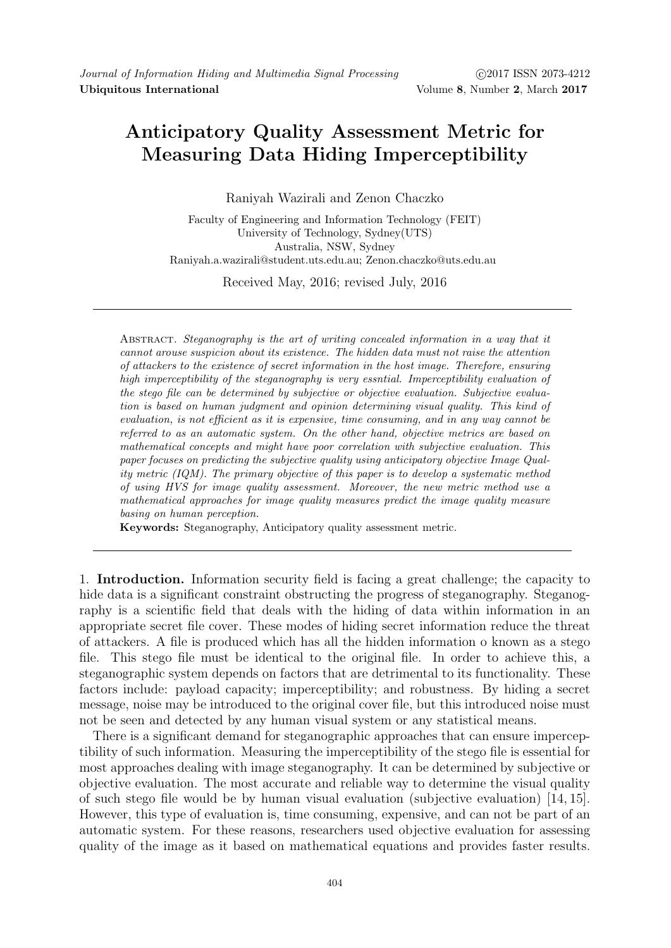## Anticipatory Quality Assessment Metric for Measuring Data Hiding Imperceptibility

Raniyah Wazirali and Zenon Chaczko

Faculty of Engineering and Information Technology (FEIT) University of Technology, Sydney(UTS) Australia, NSW, Sydney Raniyah.a.wazirali@student.uts.edu.au; Zenon.chaczko@uts.edu.au

Received May, 2016; revised July, 2016

Abstract. Steganography is the art of writing concealed information in a way that it cannot arouse suspicion about its existence. The hidden data must not raise the attention of attackers to the existence of secret information in the host image. Therefore, ensuring high imperceptibility of the steganography is very essntial. Imperceptibility evaluation of the stego file can be determined by subjective or objective evaluation. Subjective evaluation is based on human judgment and opinion determining visual quality. This kind of evaluation, is not efficient as it is expensive, time consuming, and in any way cannot be referred to as an automatic system. On the other hand, objective metrics are based on mathematical concepts and might have poor correlation with subjective evaluation. This paper focuses on predicting the subjective quality using anticipatory objective Image Quality metric  $(IQM)$ . The primary objective of this paper is to develop a systematic method of using HVS for image quality assessment. Moreover, the new metric method use a mathematical approaches for image quality measures predict the image quality measure basing on human perception.

Keywords: Steganography, Anticipatory quality assessment metric.

1. Introduction. Information security field is facing a great challenge; the capacity to hide data is a significant constraint obstructing the progress of steganography. Steganography is a scientific field that deals with the hiding of data within information in an appropriate secret file cover. These modes of hiding secret information reduce the threat of attackers. A file is produced which has all the hidden information o known as a stego file. This stego file must be identical to the original file. In order to achieve this, a steganographic system depends on factors that are detrimental to its functionality. These factors include: payload capacity; imperceptibility; and robustness. By hiding a secret message, noise may be introduced to the original cover file, but this introduced noise must not be seen and detected by any human visual system or any statistical means.

There is a significant demand for steganographic approaches that can ensure imperceptibility of such information. Measuring the imperceptibility of the stego file is essential for most approaches dealing with image steganography. It can be determined by subjective or objective evaluation. The most accurate and reliable way to determine the visual quality of such stego file would be by human visual evaluation (subjective evaluation) [14, 15]. However, this type of evaluation is, time consuming, expensive, and can not be part of an automatic system. For these reasons, researchers used objective evaluation for assessing quality of the image as it based on mathematical equations and provides faster results.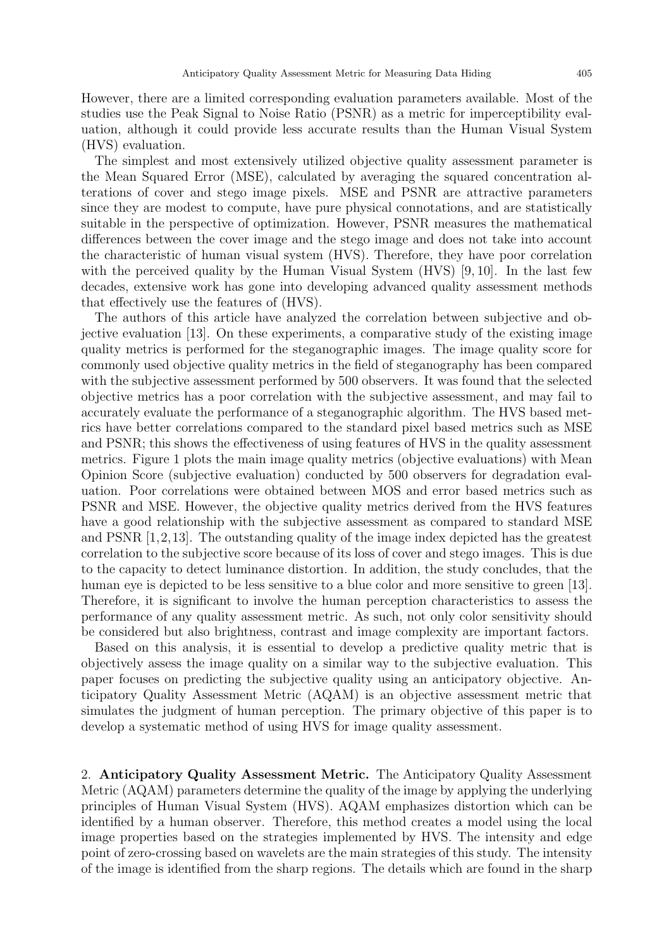However, there are a limited corresponding evaluation parameters available. Most of the studies use the Peak Signal to Noise Ratio (PSNR) as a metric for imperceptibility evaluation, although it could provide less accurate results than the Human Visual System (HVS) evaluation.

The simplest and most extensively utilized objective quality assessment parameter is the Mean Squared Error (MSE), calculated by averaging the squared concentration alterations of cover and stego image pixels. MSE and PSNR are attractive parameters since they are modest to compute, have pure physical connotations, and are statistically suitable in the perspective of optimization. However, PSNR measures the mathematical differences between the cover image and the stego image and does not take into account the characteristic of human visual system (HVS). Therefore, they have poor correlation with the perceived quality by the Human Visual System (HVS) [9, 10]. In the last few decades, extensive work has gone into developing advanced quality assessment methods that effectively use the features of (HVS).

The authors of this article have analyzed the correlation between subjective and objective evaluation [13]. On these experiments, a comparative study of the existing image quality metrics is performed for the steganographic images. The image quality score for commonly used objective quality metrics in the field of steganography has been compared with the subjective assessment performed by 500 observers. It was found that the selected objective metrics has a poor correlation with the subjective assessment, and may fail to accurately evaluate the performance of a steganographic algorithm. The HVS based metrics have better correlations compared to the standard pixel based metrics such as MSE and PSNR; this shows the effectiveness of using features of HVS in the quality assessment metrics. Figure 1 plots the main image quality metrics (objective evaluations) with Mean Opinion Score (subjective evaluation) conducted by 500 observers for degradation evaluation. Poor correlations were obtained between MOS and error based metrics such as PSNR and MSE. However, the objective quality metrics derived from the HVS features have a good relationship with the subjective assessment as compared to standard MSE and PSNR  $[1,2,13]$ . The outstanding quality of the image index depicted has the greatest correlation to the subjective score because of its loss of cover and stego images. This is due to the capacity to detect luminance distortion. In addition, the study concludes, that the human eye is depicted to be less sensitive to a blue color and more sensitive to green [13]. Therefore, it is significant to involve the human perception characteristics to assess the performance of any quality assessment metric. As such, not only color sensitivity should be considered but also brightness, contrast and image complexity are important factors.

Based on this analysis, it is essential to develop a predictive quality metric that is objectively assess the image quality on a similar way to the subjective evaluation. This paper focuses on predicting the subjective quality using an anticipatory objective. Anticipatory Quality Assessment Metric (AQAM) is an objective assessment metric that simulates the judgment of human perception. The primary objective of this paper is to develop a systematic method of using HVS for image quality assessment.

2. Anticipatory Quality Assessment Metric. The Anticipatory Quality Assessment Metric (AQAM) parameters determine the quality of the image by applying the underlying principles of Human Visual System (HVS). AQAM emphasizes distortion which can be identified by a human observer. Therefore, this method creates a model using the local image properties based on the strategies implemented by HVS. The intensity and edge point of zero-crossing based on wavelets are the main strategies of this study. The intensity of the image is identified from the sharp regions. The details which are found in the sharp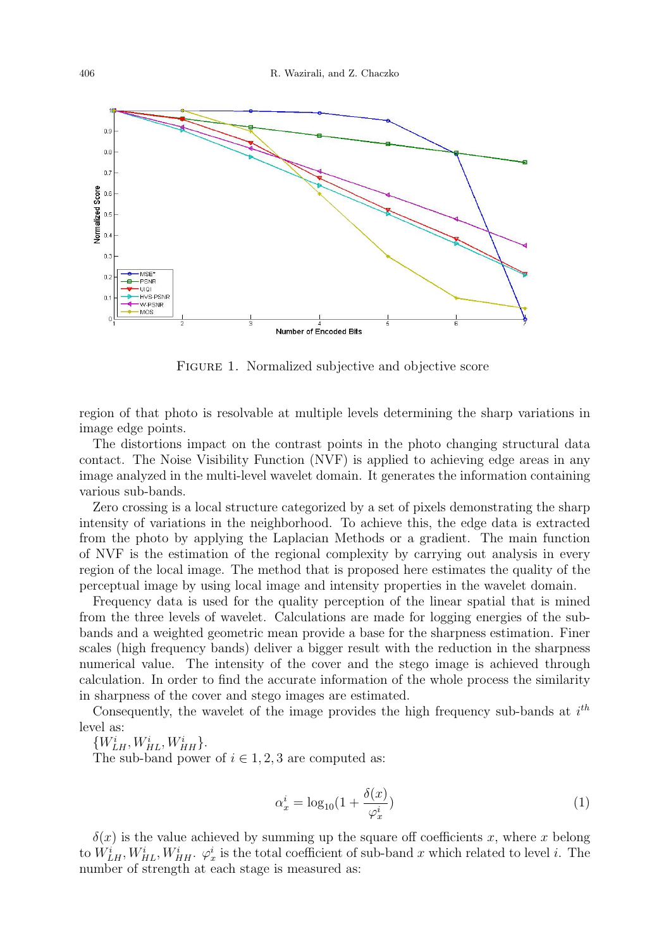

Figure 1. Normalized subjective and objective score

region of that photo is resolvable at multiple levels determining the sharp variations in image edge points.

The distortions impact on the contrast points in the photo changing structural data contact. The Noise Visibility Function (NVF) is applied to achieving edge areas in any image analyzed in the multi-level wavelet domain. It generates the information containing various sub-bands.

Zero crossing is a local structure categorized by a set of pixels demonstrating the sharp intensity of variations in the neighborhood. To achieve this, the edge data is extracted from the photo by applying the Laplacian Methods or a gradient. The main function of NVF is the estimation of the regional complexity by carrying out analysis in every region of the local image. The method that is proposed here estimates the quality of the perceptual image by using local image and intensity properties in the wavelet domain.

Frequency data is used for the quality perception of the linear spatial that is mined from the three levels of wavelet. Calculations are made for logging energies of the subbands and a weighted geometric mean provide a base for the sharpness estimation. Finer scales (high frequency bands) deliver a bigger result with the reduction in the sharpness numerical value. The intensity of the cover and the stego image is achieved through calculation. In order to find the accurate information of the whole process the similarity in sharpness of the cover and stego images are estimated.

Consequently, the wavelet of the image provides the high frequency sub-bands at  $i^{th}$ level as:

 ${W}^i_{LH}, {W}^i_{HL}, {W}^i_{HH}.$ 

The sub-band power of  $i \in 1, 2, 3$  are computed as:

$$
\alpha_x^i = \log_{10}(1 + \frac{\delta(x)}{\varphi_x^i})\tag{1}
$$

 $\delta(x)$  is the value achieved by summing up the square off coefficients x, where x belong to  $W_{LH}^i, W_{HL}^i, W_{HH}^i$ .  $\varphi_x^i$  is the total coefficient of sub-band x which related to level i. The number of strength at each stage is measured as: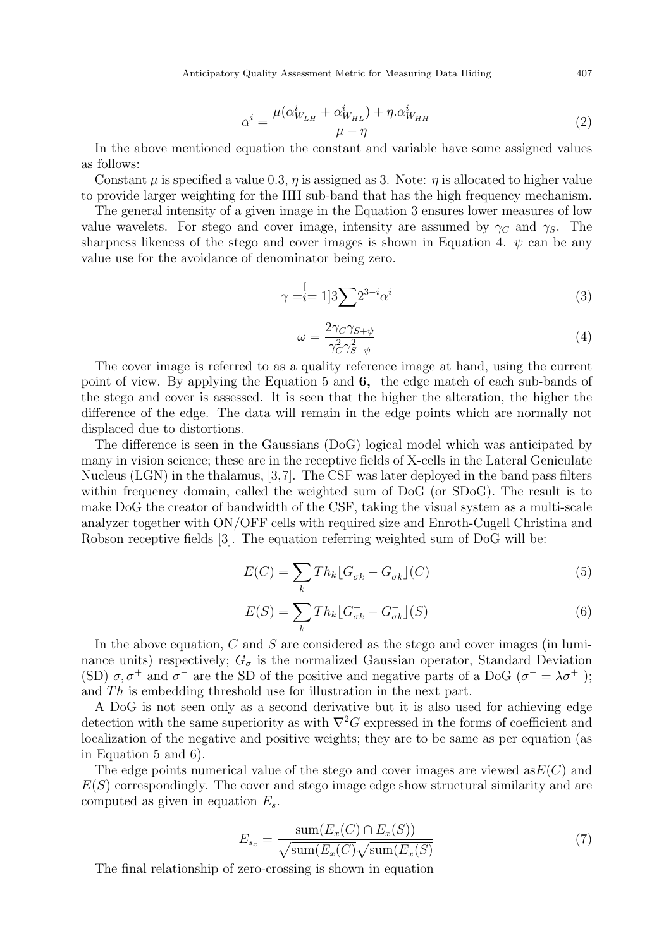Anticipatory Quality Assessment Metric for Measuring Data Hiding 407

$$
\alpha^i = \frac{\mu(\alpha_{W_{LH}}^i + \alpha_{W_{HL}}^i) + \eta \cdot \alpha_{W_{HH}}^i}{\mu + \eta} \tag{2}
$$

In the above mentioned equation the constant and variable have some assigned values as follows:

Constant  $\mu$  is specified a value 0.3,  $\eta$  is assigned as 3. Note:  $\eta$  is allocated to higher value to provide larger weighting for the HH sub-band that has the high frequency mechanism.

The general intensity of a given image in the Equation 3 ensures lower measures of low value wavelets. For stego and cover image, intensity are assumed by  $\gamma_c$  and  $\gamma_s$ . The sharpness likeness of the stego and cover images is shown in Equation 4.  $\psi$  can be any value use for the avoidance of denominator being zero.

$$
\gamma = \stackrel[i=1]{3}{{\sum}} 2^{3-i} \alpha^i
$$
\n<sup>(3)</sup>

$$
\omega = \frac{2\gamma_C \gamma_{S+\psi}}{\gamma_C^2 \gamma_{S+\psi}^2} \tag{4}
$$

The cover image is referred to as a quality reference image at hand, using the current point of view. By applying the Equation 5 and 6, the edge match of each sub-bands of the stego and cover is assessed. It is seen that the higher the alteration, the higher the difference of the edge. The data will remain in the edge points which are normally not displaced due to distortions.

The difference is seen in the Gaussians (DoG) logical model which was anticipated by many in vision science; these are in the receptive fields of X-cells in the Lateral Geniculate Nucleus (LGN) in the thalamus, [3,7]. The CSF was later deployed in the band pass filters within frequency domain, called the weighted sum of DoG (or SDoG). The result is to make DoG the creator of bandwidth of the CSF, taking the visual system as a multi-scale analyzer together with ON/OFF cells with required size and Enroth-Cugell Christina and Robson receptive fields [3]. The equation referring weighted sum of DoG will be:

$$
E(C) = \sum_{k} Th_k \left[G_{\sigma k}^+ - G_{\sigma k}^- \right](C) \tag{5}
$$

$$
E(S) = \sum_{k} Th_k \lfloor G_{\sigma k}^+ - G_{\sigma k}^- \rfloor(S)
$$
\n<sup>(6)</sup>

In the above equation, C and S are considered as the stego and cover images (in luminance units) respectively;  $G_{\sigma}$  is the normalized Gaussian operator, Standard Deviation (SD)  $\sigma$ ,  $\sigma^+$  and  $\sigma^-$  are the SD of the positive and negative parts of a DoG ( $\sigma^- = \lambda \sigma^+$ ); and  $Th$  is embedding threshold use for illustration in the next part.

A DoG is not seen only as a second derivative but it is also used for achieving edge detection with the same superiority as with  $\nabla^2 G$  expressed in the forms of coefficient and localization of the negative and positive weights; they are to be same as per equation (as in Equation 5 and 6).

The edge points numerical value of the stego and cover images are viewed as  $E(C)$  and  $E(S)$  correspondingly. The cover and stego image edge show structural similarity and are computed as given in equation  $E_s$ .

$$
E_{s_x} = \frac{\text{sum}(E_x(C) \cap E_x(S))}{\sqrt{\text{sum}(E_x(C)}\sqrt{\text{sum}(E_x(S))}}\tag{7}
$$

The final relationship of zero-crossing is shown in equation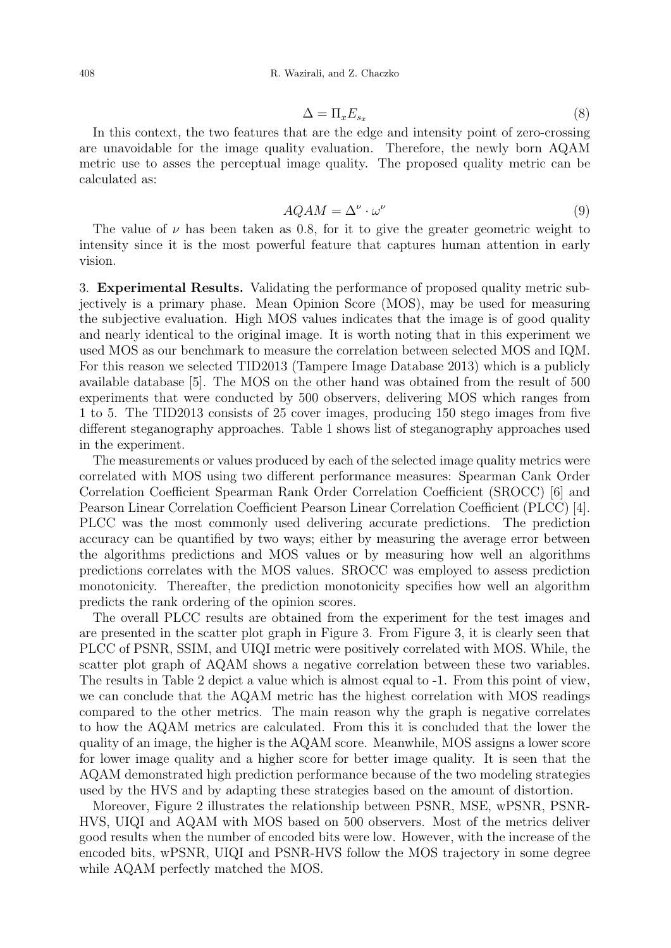$$
\Delta = \Pi_x E_{s_x} \tag{8}
$$

In this context, the two features that are the edge and intensity point of zero-crossing are unavoidable for the image quality evaluation. Therefore, the newly born AQAM metric use to asses the perceptual image quality. The proposed quality metric can be calculated as:

$$
AQAM = \Delta^{\nu} \cdot \omega^{\nu}
$$
 (9)

The value of  $\nu$  has been taken as 0.8, for it to give the greater geometric weight to intensity since it is the most powerful feature that captures human attention in early vision.

3. Experimental Results. Validating the performance of proposed quality metric subjectively is a primary phase. Mean Opinion Score (MOS), may be used for measuring the subjective evaluation. High MOS values indicates that the image is of good quality and nearly identical to the original image. It is worth noting that in this experiment we used MOS as our benchmark to measure the correlation between selected MOS and IQM. For this reason we selected TID2013 (Tampere Image Database 2013) which is a publicly available database [5]. The MOS on the other hand was obtained from the result of 500 experiments that were conducted by 500 observers, delivering MOS which ranges from 1 to 5. The TID2013 consists of 25 cover images, producing 150 stego images from five different steganography approaches. Table 1 shows list of steganography approaches used in the experiment.

The measurements or values produced by each of the selected image quality metrics were correlated with MOS using two different performance measures: Spearman Cank Order Correlation Coefficient Spearman Rank Order Correlation Coefficient (SROCC) [6] and Pearson Linear Correlation Coefficient Pearson Linear Correlation Coefficient (PLCC) [4]. PLCC was the most commonly used delivering accurate predictions. The prediction accuracy can be quantified by two ways; either by measuring the average error between the algorithms predictions and MOS values or by measuring how well an algorithms predictions correlates with the MOS values. SROCC was employed to assess prediction monotonicity. Thereafter, the prediction monotonicity specifies how well an algorithm predicts the rank ordering of the opinion scores.

The overall PLCC results are obtained from the experiment for the test images and are presented in the scatter plot graph in Figure 3. From Figure 3, it is clearly seen that PLCC of PSNR, SSIM, and UIQI metric were positively correlated with MOS. While, the scatter plot graph of AQAM shows a negative correlation between these two variables. The results in Table 2 depict a value which is almost equal to -1. From this point of view, we can conclude that the AQAM metric has the highest correlation with MOS readings compared to the other metrics. The main reason why the graph is negative correlates to how the AQAM metrics are calculated. From this it is concluded that the lower the quality of an image, the higher is the AQAM score. Meanwhile, MOS assigns a lower score for lower image quality and a higher score for better image quality. It is seen that the AQAM demonstrated high prediction performance because of the two modeling strategies used by the HVS and by adapting these strategies based on the amount of distortion.

Moreover, Figure 2 illustrates the relationship between PSNR, MSE, wPSNR, PSNR-HVS, UIQI and AQAM with MOS based on 500 observers. Most of the metrics deliver good results when the number of encoded bits were low. However, with the increase of the encoded bits, wPSNR, UIQI and PSNR-HVS follow the MOS trajectory in some degree while AQAM perfectly matched the MOS.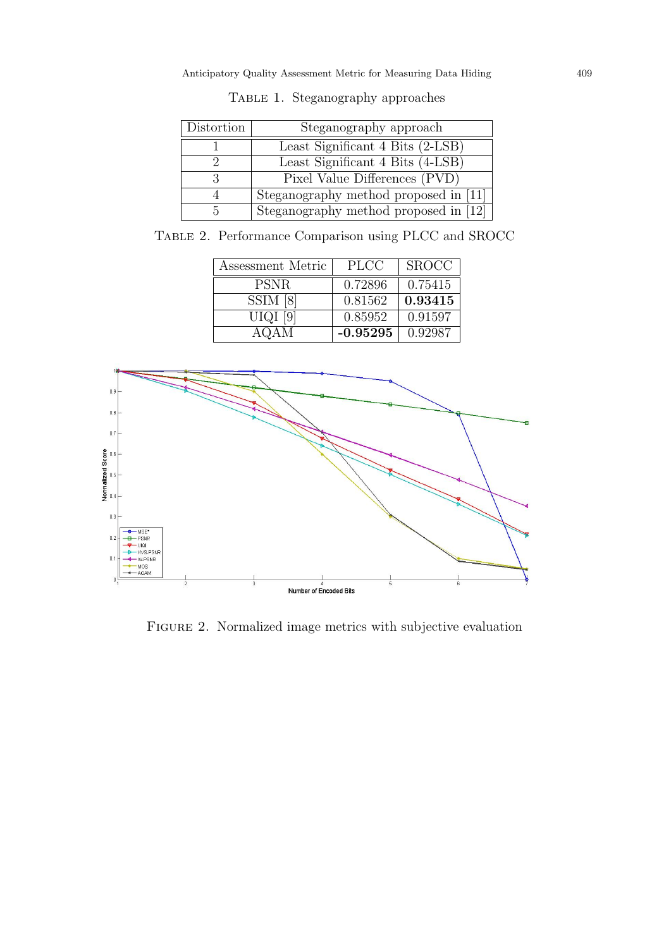| Distortion | Steganography approach                |  |
|------------|---------------------------------------|--|
|            | Least Significant 4 Bits (2-LSB)      |  |
|            | Least Significant 4 Bits (4-LSB)      |  |
|            | Pixel Value Differences (PVD)         |  |
|            | Steganography method proposed in [11] |  |
| .h         | Steganography method proposed in [12] |  |

TABLE 1. Steganography approaches

Table 2. Performance Comparison using PLCC and SROCC

| Assessment Metric | <b>PLCC</b> | <b>SROCC</b> |
|-------------------|-------------|--------------|
| <b>PSNR</b>       | 0.72896     | 0.75415      |
| SSIM [8]          | 0.81562     | 0.93415      |
| UIQI [9]          | 0.85952     | 0.91597      |
| AQAM              | $-0.95295$  | 0.92987      |



FIGURE 2. Normalized image metrics with subjective evaluation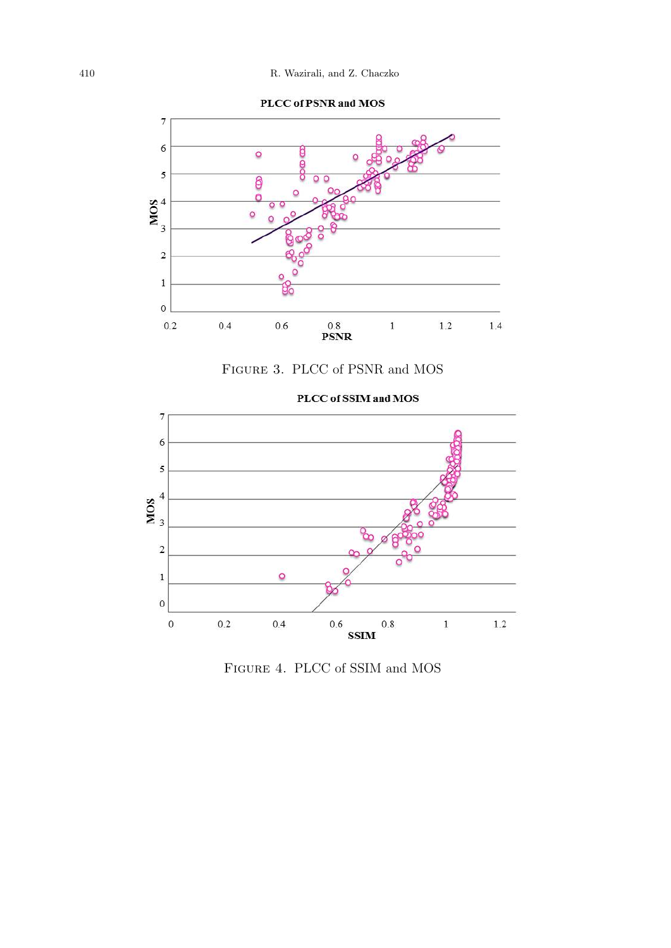







Figure 4. PLCC of SSIM and MOS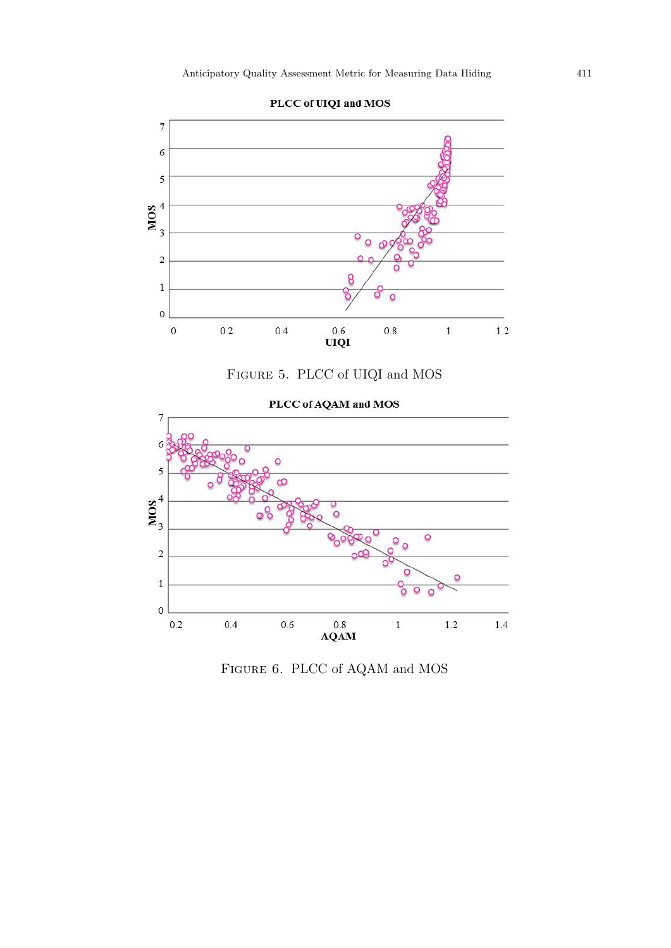

PLCC of UIQI and MOS





PLCC of AQAM and MOS

Figure 6. PLCC of AQAM and MOS